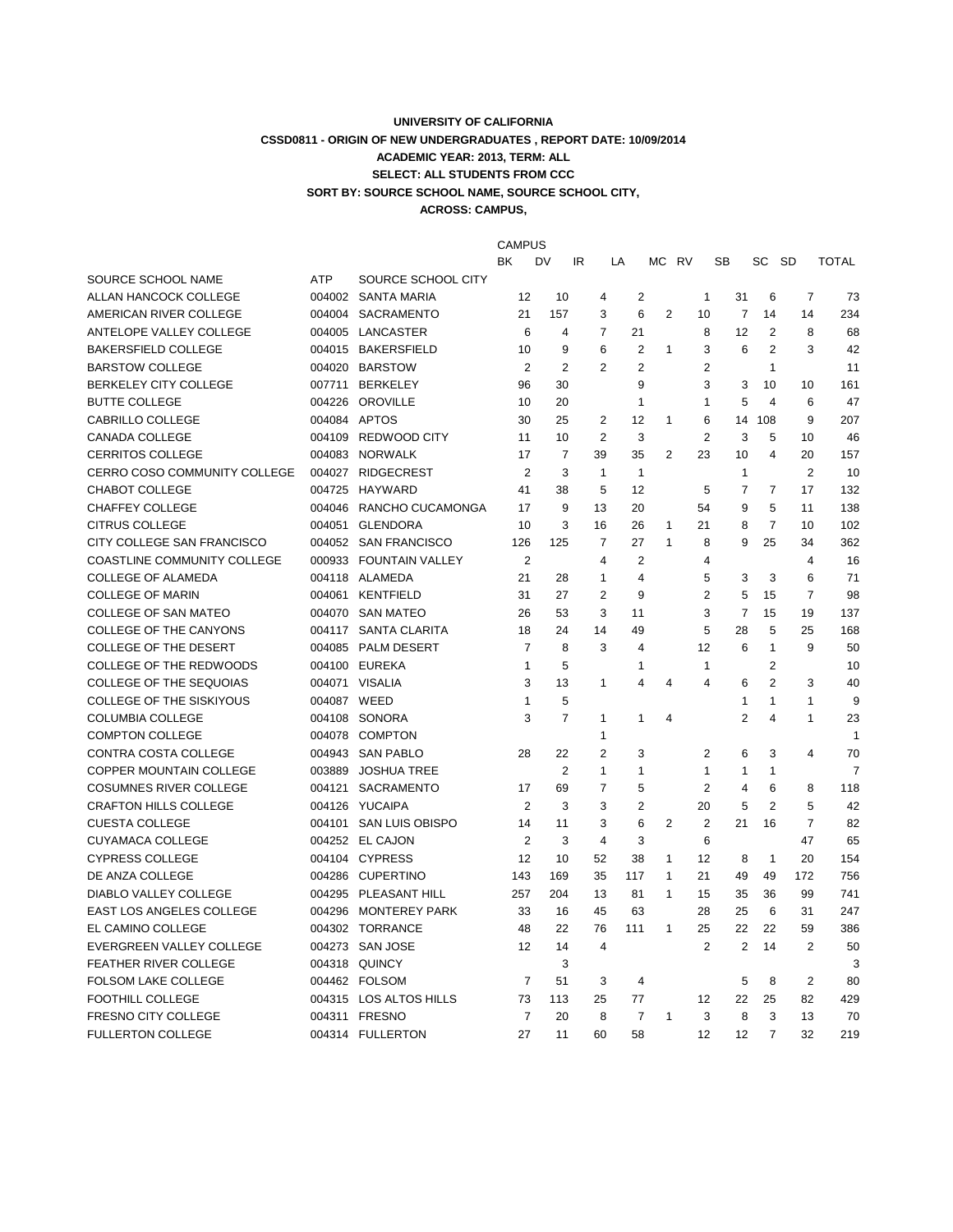## **UNIVERSITY OF CALIFORNIA CSSD0811 - ORIGIN OF NEW UNDERGRADUATES , REPORT DATE: 10/09/2014 ACADEMIC YEAR: 2013, TERM: ALL SELECT: ALL STUDENTS FROM CCC SORT BY: SOURCE SCHOOL NAME, SOURCE SCHOOL CITY, ACROSS: CAMPUS,**

|                                    |             |                         | <b>CAMPUS</b>  |                |                         |                |                |              |                      |                         |                         |                |
|------------------------------------|-------------|-------------------------|----------------|----------------|-------------------------|----------------|----------------|--------------|----------------------|-------------------------|-------------------------|----------------|
|                                    |             |                         | BK             | DV             | IR                      | LA             | МC             | RV           | SB                   | SC                      | - SD                    | <b>TOTAL</b>   |
| SOURCE SCHOOL NAME                 | <b>ATP</b>  | SOURCE SCHOOL CITY      |                |                |                         |                |                |              |                      |                         |                         |                |
| ALLAN HANCOCK COLLEGE              |             | 004002 SANTA MARIA      | 12             | 10             | 4                       | $\overline{2}$ |                | $\mathbf{1}$ | 31                   | 6                       | $\overline{7}$          | 73             |
| AMERICAN RIVER COLLEGE             |             | 004004 SACRAMENTO       | 21             | 157            | 3                       | 6              | $\overline{2}$ | 10           | $\overline{7}$       | 14                      | 14                      | 234            |
| ANTELOPE VALLEY COLLEGE            |             | 004005 LANCASTER        | 6              | 4              | $\overline{7}$          | 21             |                |              | 8<br>12              | $\overline{2}$          | 8                       | 68             |
| <b>BAKERSFIELD COLLEGE</b>         |             | 004015 BAKERSFIELD      | 10             | 9              | 6                       | $\overline{2}$ | $\mathbf{1}$   |              | 3<br>6               | $\overline{2}$          | 3                       | 42             |
| <b>BARSTOW COLLEGE</b>             |             | 004020 BARSTOW          | 2              | $\overline{2}$ | $\overline{2}$          | $\overline{2}$ |                |              | $\overline{2}$       | $\mathbf{1}$            |                         | 11             |
| BERKELEY CITY COLLEGE              |             | 007711 BERKELEY         | 96             | 30             |                         | 9              |                |              | 3<br>3               | 10                      | 10                      | 161            |
| <b>BUTTE COLLEGE</b>               |             | 004226 OROVILLE         | 10             | 20             |                         | $\mathbf{1}$   |                |              | 5<br>1               | 4                       | 6                       | 47             |
| CABRILLO COLLEGE                   |             | 004084 APTOS            | 30             | 25             | 2                       | 12             | 1              |              | 6<br>14              | 108                     | 9                       | 207            |
| <b>CANADA COLLEGE</b>              |             | 004109 REDWOOD CITY     | 11             | 10             | $\overline{2}$          | 3              |                |              | $\overline{2}$<br>3  | 5                       | 10                      | 46             |
| CERRITOS COLLEGE                   |             | 004083 NORWALK          | 17             | $\overline{7}$ | 39                      | 35             | 2              | 23           | 10                   | $\overline{\mathbf{A}}$ | 20                      | 157            |
| CERRO COSO COMMUNITY COLLEGE       |             | 004027 RIDGECREST       | $\overline{2}$ | 3              | $\mathbf{1}$            | $\mathbf{1}$   |                |              | $\mathbf{1}$         |                         | $\overline{2}$          | 10             |
| CHABOT COLLEGE                     |             | 004725 HAYWARD          | 41             | 38             | 5                       | 12             |                | 5            | $\overline{7}$       | 7                       | 17                      | 132            |
| <b>CHAFFEY COLLEGE</b>             |             | 004046 RANCHO CUCAMONGA | 17             | 9              | 13                      | 20             |                | 54           | 9                    | 5                       | 11                      | 138            |
| <b>CITRUS COLLEGE</b>              |             | 004051 GLENDORA         | 10             | 3              | 16                      | 26             | $\mathbf{1}$   | 21           | 8                    | $\overline{7}$          | 10                      | 102            |
| CITY COLLEGE SAN FRANCISCO         |             | 004052 SAN FRANCISCO    | 126            | 125            | $\overline{7}$          | 27             | $\mathbf{1}$   |              | 9<br>8               | 25                      | 34                      | 362            |
| <b>COASTLINE COMMUNITY COLLEGE</b> |             | 000933 FOUNTAIN VALLEY  | $\overline{2}$ |                | 4                       | $\overline{2}$ |                |              | 4                    |                         | $\overline{\mathbf{4}}$ | 16             |
| <b>COLLEGE OF ALAMEDA</b>          |             | 004118 ALAMEDA          | 21             | 28             | $\mathbf{1}$            | $\overline{4}$ |                |              | 5<br>3               | 3                       | 6                       | 71             |
| <b>COLLEGE OF MARIN</b>            |             | 004061 KENTFIELD        | 31             | 27             | 2                       | 9              |                |              | $\overline{2}$<br>5  | 15                      | $\overline{7}$          | 98             |
| <b>COLLEGE OF SAN MATEO</b>        |             | 004070 SAN MATEO        | 26             | 53             | 3                       | 11             |                |              | 3<br>$\overline{7}$  | 15                      | 19                      | 137            |
| COLLEGE OF THE CANYONS             |             | 004117 SANTA CLARITA    | 18             | 24             | 14                      | 49             |                | 5            | 28                   | 5                       | 25                      | 168            |
| <b>COLLEGE OF THE DESERT</b>       |             | 004085 PALM DESERT      | $\overline{7}$ | 8              | 3                       | 4              |                | 12           | 6                    | $\mathbf{1}$            | 9                       | 50             |
| <b>COLLEGE OF THE REDWOODS</b>     |             | 004100 EUREKA           | 1              | 5              |                         | 1              |                | 1            |                      | $\overline{2}$          |                         | 10             |
| <b>COLLEGE OF THE SEQUOIAS</b>     |             | 004071 VISALIA          | 3              | 13             | 1                       | 4              | $\overline{4}$ |              | 4<br>6               | $\overline{2}$          | 3                       | 40             |
| COLLEGE OF THE SISKIYOUS           | 004087 WEED |                         | 1              | 5              |                         |                |                |              | 1                    | $\mathbf{1}$            | 1                       | 9              |
| <b>COLUMBIA COLLEGE</b>            |             | 004108 SONORA           | 3              | $\overline{7}$ | 1                       | 1              | 4              |              | $\overline{2}$       | 4                       | 1                       | 23             |
| <b>COMPTON COLLEGE</b>             |             | 004078 COMPTON          |                |                | 1                       |                |                |              |                      |                         |                         | $\mathbf{1}$   |
| CONTRA COSTA COLLEGE               |             | 004943 SAN PABLO        | 28             | 22             | $\overline{2}$          | 3              |                |              | $\overline{2}$<br>6  | 3                       | 4                       | 70             |
| COPPER MOUNTAIN COLLEGE            | 003889      | <b>JOSHUA TREE</b>      |                | $\overline{2}$ | 1                       | 1              |                | 1            | 1                    | 1                       |                         | $\overline{7}$ |
| <b>COSUMNES RIVER COLLEGE</b>      |             | 004121 SACRAMENTO       | 17             | 69             | $\overline{7}$          | 5              |                |              | 2<br>4               | 6                       | 8                       | 118            |
| <b>CRAFTON HILLS COLLEGE</b>       |             | 004126 YUCAIPA          | 2              | 3              | 3                       | $\overline{2}$ |                | 20           | 5                    | $\overline{2}$          | 5                       | 42             |
| <b>CUESTA COLLEGE</b>              |             | 004101 SAN LUIS OBISPO  | 14             | 11             | 3                       | 6              | $\overline{2}$ |              | $\overline{2}$<br>21 | 16                      | $\overline{7}$          | 82             |
| <b>CUYAMACA COLLEGE</b>            |             | 004252 EL CAJON         | $\overline{2}$ | 3              | $\overline{\mathbf{4}}$ | 3              |                |              | 6                    |                         | 47                      | 65             |
| <b>CYPRESS COLLEGE</b>             |             | 004104 CYPRESS          | 12             | 10             | 52                      | 38             | $\mathbf{1}$   | 12           | 8                    | $\mathbf{1}$            | 20                      | 154            |
| DE ANZA COLLEGE                    |             | 004286 CUPERTINO        | 143            | 169            | 35                      | 117            | $\mathbf{1}$   | 21           | 49                   | 49                      | 172                     | 756            |
| <b>DIABLO VALLEY COLLEGE</b>       |             | 004295 PLEASANT HILL    | 257            | 204            | 13                      | 81             | $\mathbf{1}$   | 15           | 35                   | 36                      | 99                      | 741            |
| <b>EAST LOS ANGELES COLLEGE</b>    |             | 004296 MONTEREY PARK    | 33             | 16             | 45                      | 63             |                | 28           | 25                   | 6                       | 31                      | 247            |
| EL CAMINO COLLEGE                  |             | 004302 TORRANCE         | 48             | 22             | 76                      | 111            | $\mathbf{1}$   | 25           | 22                   | 22                      | 59                      | 386            |
| EVERGREEN VALLEY COLLEGE           |             | 004273 SAN JOSE         | 12             | 14             | $\overline{4}$          |                |                |              | 2<br>$\overline{2}$  | 14                      | $\overline{2}$          | 50             |
| FEATHER RIVER COLLEGE              |             | 004318 QUINCY           |                | 3              |                         |                |                |              |                      |                         |                         | 3              |
| <b>FOLSOM LAKE COLLEGE</b>         |             | 004462 FOLSOM           | $\overline{7}$ | 51             | 3                       | $\overline{4}$ |                |              | 5                    | 8                       | 2                       | 80             |
| <b>FOOTHILL COLLEGE</b>            |             | 004315 LOS ALTOS HILLS  | 73             | 113            | 25                      | 77             |                | 12           | 22                   | 25                      | 82                      | 429            |
| <b>FRESNO CITY COLLEGE</b>         |             | 004311 FRESNO           | $\overline{7}$ | 20             | 8                       | $\overline{7}$ | $\mathbf{1}$   |              | 8<br>3               | 3                       | 13                      | 70             |
| <b>FULLERTON COLLEGE</b>           |             | 004314 FULLERTON        | 27             | 11             | 60                      | 58             |                | 12           | 12                   | $\overline{7}$          | 32                      | 219            |
|                                    |             |                         |                |                |                         |                |                |              |                      |                         |                         |                |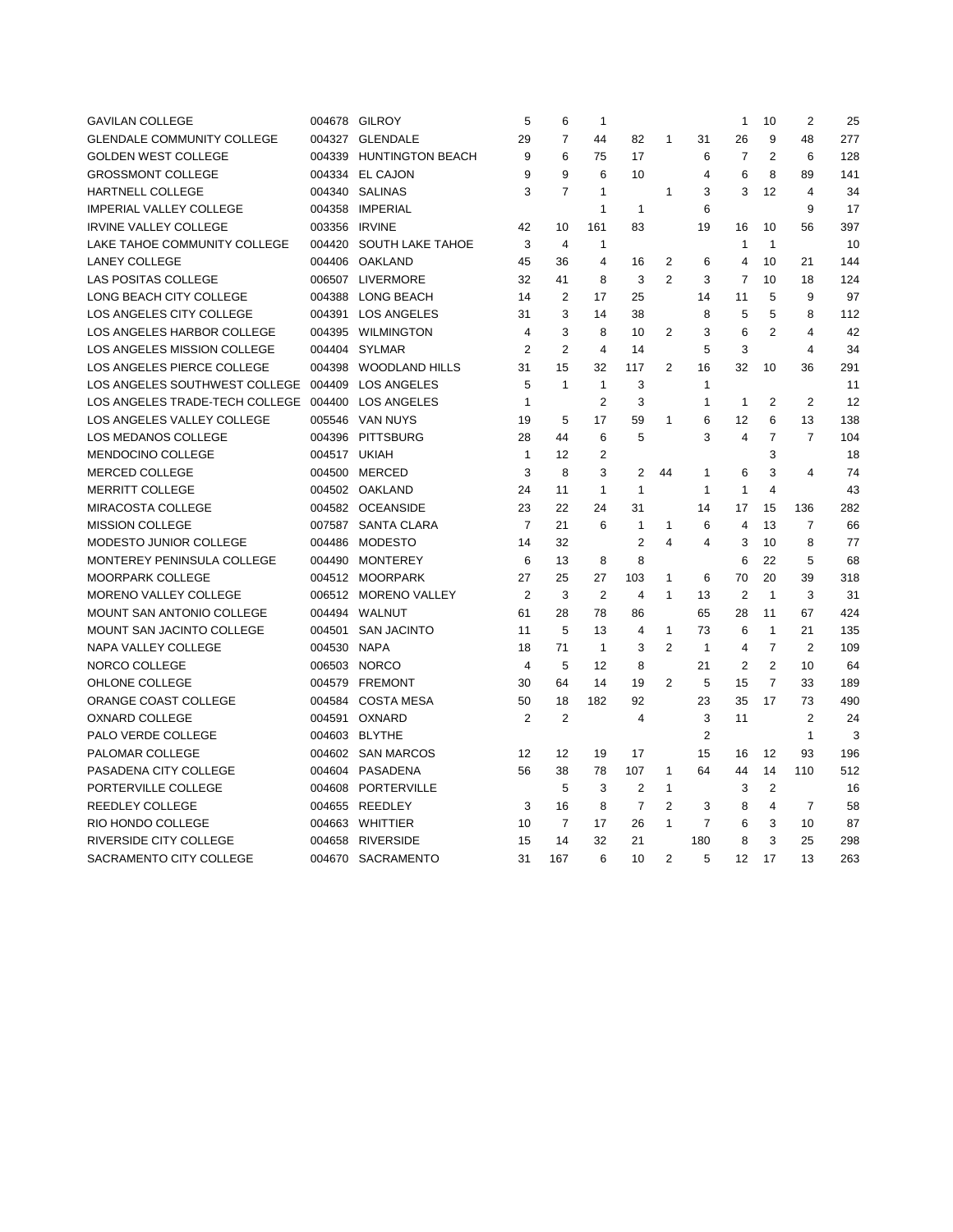| <b>GAVILAN COLLEGE</b>            |               | 004678 GILROY           | 5              | 6              | $\mathbf{1}$   |                         |                |                | $\mathbf{1}$   | 10             | 2              | 25  |
|-----------------------------------|---------------|-------------------------|----------------|----------------|----------------|-------------------------|----------------|----------------|----------------|----------------|----------------|-----|
| <b>GLENDALE COMMUNITY COLLEGE</b> |               | 004327 GLENDALE         | 29             | $\overline{7}$ | 44             | 82                      | 1              | 31             | 26             | 9              | 48             | 277 |
| <b>GOLDEN WEST COLLEGE</b>        |               | 004339 HUNTINGTON BEACH | 9              | 6              | 75             | 17                      |                | 6              | $\overline{7}$ | 2              | 6              | 128 |
| <b>GROSSMONT COLLEGE</b>          |               | 004334 EL CAJON         | 9              | 9              | 6              | 10                      |                | $\overline{4}$ | 6              | 8              | 89             | 141 |
| HARTNELL COLLEGE                  |               | 004340 SALINAS          | 3              | $\overline{7}$ | $\mathbf{1}$   |                         | $\mathbf{1}$   | 3              | 3              | 12             | $\overline{4}$ | 34  |
| <b>IMPERIAL VALLEY COLLEGE</b>    |               | 004358 IMPERIAL         |                |                | 1              | $\mathbf{1}$            |                | 6              |                |                | 9              | 17  |
| <b>IRVINE VALLEY COLLEGE</b>      | 003356 IRVINE |                         | 42             | 10             | 161            | 83                      |                | 19             | 16             | 10             | 56             | 397 |
| LAKE TAHOE COMMUNITY COLLEGE      |               | 004420 SOUTH LAKE TAHOE | 3              | $\overline{4}$ | $\mathbf{1}$   |                         |                |                | 1              | $\mathbf{1}$   |                | 10  |
| <b>LANEY COLLEGE</b>              |               | 004406 OAKLAND          | 45             | 36             | $\overline{4}$ | 16                      | 2              | 6              | 4              | 10             | 21             | 144 |
| LAS POSITAS COLLEGE               |               | 006507 LIVERMORE        | 32             | 41             | 8              | 3                       | $\overline{2}$ | 3              | $\overline{7}$ | 10             | 18             | 124 |
| LONG BEACH CITY COLLEGE           | 004388        | <b>LONG BEACH</b>       | 14             | $\overline{2}$ | 17             | 25                      |                | 14             | 11             | 5              | 9              | 97  |
| LOS ANGELES CITY COLLEGE          | 004391        | <b>LOS ANGELES</b>      | 31             | 3              | 14             | 38                      |                | 8              | 5              | 5              | 8              | 112 |
| LOS ANGELES HARBOR COLLEGE        |               | 004395 WILMINGTON       | 4              | 3              | 8              | 10                      | 2              | 3              | 6              | $\overline{2}$ | $\overline{4}$ | 42  |
| LOS ANGELES MISSION COLLEGE       |               | 004404 SYLMAR           | $\overline{2}$ | $\overline{2}$ | $\overline{4}$ | 14                      |                | 5              | 3              |                | 4              | 34  |
| LOS ANGELES PIERCE COLLEGE        |               | 004398 WOODLAND HILLS   | 31             | 15             | 32             | 117                     | $\overline{2}$ | 16             | 32             | 10             | 36             | 291 |
| LOS ANGELES SOUTHWEST COLLEGE     |               | 004409 LOS ANGELES      | 5              | $\mathbf{1}$   | $\mathbf{1}$   | 3                       |                | $\mathbf{1}$   |                |                |                | 11  |
| LOS ANGELES TRADE-TECH COLLEGE    | 004400        | <b>LOS ANGELES</b>      | $\mathbf{1}$   |                | $\overline{2}$ | 3                       |                | $\mathbf{1}$   | $\mathbf{1}$   | 2              | $\overline{2}$ | 12  |
| LOS ANGELES VALLEY COLLEGE        |               | 005546 VAN NUYS         | 19             | 5              | 17             | 59                      | 1              | 6              | 12             | 6              | 13             | 138 |
| LOS MEDANOS COLLEGE               |               | 004396 PITTSBURG        | 28             | 44             | 6              | 5                       |                | 3              | 4              | $\overline{7}$ | $\overline{7}$ | 104 |
| <b>MENDOCINO COLLEGE</b>          | 004517 UKIAH  |                         | $\mathbf{1}$   | 12             | $\overline{2}$ |                         |                |                |                | 3              |                | 18  |
| MERCED COLLEGE                    | 004500        | MERCED                  | 3              | 8              | 3              | $\overline{2}$          | 44             | $\mathbf{1}$   | 6              | 3              | $\overline{4}$ | 74  |
| <b>MERRITT COLLEGE</b>            |               | 004502 OAKLAND          | 24             | 11             | $\mathbf{1}$   | $\mathbf{1}$            |                | 1              | 1              | $\overline{4}$ |                | 43  |
| MIRACOSTA COLLEGE                 |               | 004582 OCEANSIDE        | 23             | 22             | 24             | 31                      |                | 14             | 17             | 15             | 136            | 282 |
| <b>MISSION COLLEGE</b>            |               | 007587 SANTA CLARA      | $\overline{7}$ | 21             | 6              | $\mathbf{1}$            | 1              | 6              | 4              | 13             | $\overline{7}$ | 66  |
| MODESTO JUNIOR COLLEGE            |               | 004486 MODESTO          | 14             | 32             |                | $\overline{2}$          | $\overline{4}$ | $\overline{4}$ | 3              | 10             | 8              | 77  |
| MONTEREY PENINSULA COLLEGE        | 004490        | <b>MONTEREY</b>         | 6              | 13             | 8              | 8                       |                |                | 6              | 22             | 5              | 68  |
| MOORPARK COLLEGE                  |               | 004512 MOORPARK         | 27             | 25             | 27             | 103                     | $\mathbf{1}$   | 6              | 70             | 20             | 39             | 318 |
| <b>MORENO VALLEY COLLEGE</b>      |               | 006512 MORENO VALLEY    | $\overline{2}$ | 3              | $\overline{2}$ | $\overline{\mathbf{A}}$ | $\mathbf{1}$   | 13             | $\overline{2}$ | $\mathbf{1}$   | 3              | 31  |
| <b>MOUNT SAN ANTONIO COLLEGE</b>  |               | 004494 WALNUT           | 61             | 28             | 78             | 86                      |                | 65             | 28             | 11             | 67             | 424 |
| MOUNT SAN JACINTO COLLEGE         |               | 004501 SAN JACINTO      | 11             | 5              | 13             | 4                       | 1              | 73             | 6              | $\mathbf{1}$   | 21             | 135 |
| NAPA VALLEY COLLEGE               | 004530 NAPA   |                         | 18             | 71             | $\overline{1}$ | 3                       | $\overline{2}$ | $\mathbf{1}$   | 4              | $\overline{7}$ | $\overline{2}$ | 109 |
| NORCO COLLEGE                     |               | 006503 NORCO            | $\overline{4}$ | 5              | 12             | 8                       |                | 21             | $\overline{2}$ | $\overline{2}$ | 10             | 64  |
| OHLONE COLLEGE                    |               | 004579 FREMONT          | 30             | 64             | 14             | 19                      | $\overline{2}$ | 5              | 15             | $\overline{7}$ | 33             | 189 |
| ORANGE COAST COLLEGE              |               | 004584 COSTA MESA       | 50             | 18             | 182            | 92                      |                | 23             | 35             | 17             | 73             | 490 |
| <b>OXNARD COLLEGE</b>             |               | 004591 OXNARD           | $\overline{2}$ | $\overline{2}$ |                | $\overline{4}$          |                | 3              | 11             |                | $\overline{2}$ | 24  |
| PALO VERDE COLLEGE                |               | 004603 BLYTHE           |                |                |                |                         |                | $\overline{2}$ |                |                | $\mathbf{1}$   | 3   |
| PALOMAR COLLEGE                   |               | 004602 SAN MARCOS       | 12             | 12             | 19             | 17                      |                | 15             | 16             | 12             | 93             | 196 |
| PASADENA CITY COLLEGE             |               | 004604 PASADENA         | 56             | 38             | 78             | 107                     | $\mathbf{1}$   | 64             | 44             | 14             | 110            | 512 |
| PORTERVILLE COLLEGE               |               | 004608 PORTERVILLE      |                | 5              | 3              | $\overline{2}$          | $\mathbf{1}$   |                | 3              | $\overline{2}$ |                | 16  |
| REEDLEY COLLEGE                   |               | 004655 REEDLEY          | 3              | 16             | 8              | $\overline{7}$          | $\overline{2}$ | 3              | 8              | 4              | $\overline{7}$ | 58  |
| RIO HONDO COLLEGE                 |               | 004663 WHITTIER         | 10             | $\overline{7}$ | 17             | 26                      | $\mathbf{1}$   | $\overline{7}$ | 6              | 3              | 10             | 87  |
| RIVERSIDE CITY COLLEGE            |               | 004658 RIVERSIDE        | 15             | 14             | 32             | 21                      |                | 180            | 8              | 3              | 25             | 298 |
| SACRAMENTO CITY COLLEGE           | 004670        | SACRAMENTO              | 31             | 167            | 6              | 10                      | $\overline{2}$ | 5              | 12             | 17             | 13             | 263 |